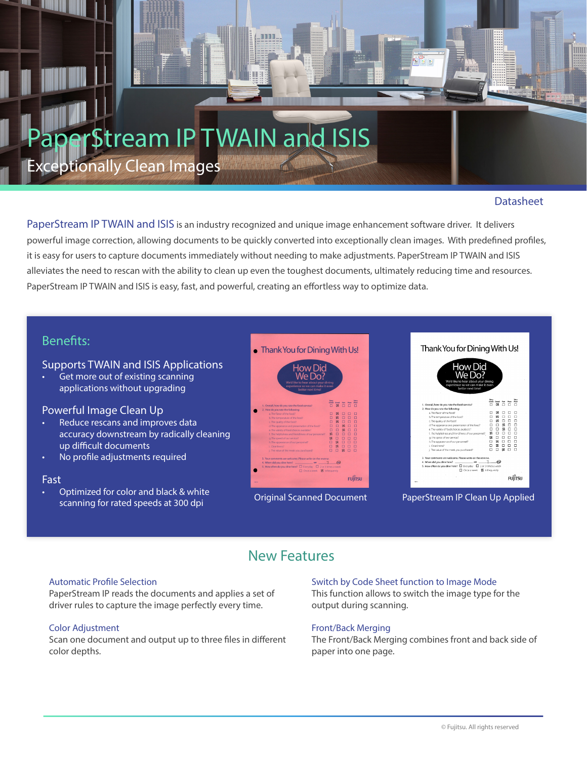# **Stream IP TWAIN and ISIS** Exceptionally Clean Images

## **Datasheet**

PaperStream IP TWAIN and ISIS is an industry recognized and unique image enhancement software driver. It delivers powerful image correction, allowing documents to be quickly converted into exceptionally clean images. With predefined profiles, it is easy for users to capture documents immediately without needing to make adjustments. PaperStream IP TWAIN and ISIS alleviates the need to rescan with the ability to clean up even the toughest documents, ultimately reducing time and resources. PaperStream IP TWAIN and ISIS is easy, fast, and powerful, creating an effortless way to optimize data.

# Benefits:

#### Supports TWAIN and ISIS Applications

Get more out of existing scanning applications without upgrading

### Powerful Image Clean Up

- Reduce rescans and improves data accuracy downstream by radically cleaning up difficult documents
- No profile adjustments required

#### Fast

• Optimized for color and black & white scanning for rated speeds at 300 dpi







#### Original Scanned Document PaperStream IP Clean Up Applied

# New Features

#### Automatic Profile Selection

PaperStream IP reads the documents and applies a set of driver rules to capture the image perfectly every time.

#### Color Adjustment

Scan one document and output up to three files in different color depths.

## Switch by Code Sheet function to Image Mode

This function allows to switch the image type for the output during scanning.

#### Front/Back Merging

The Front/Back Merging combines front and back side of paper into one page.